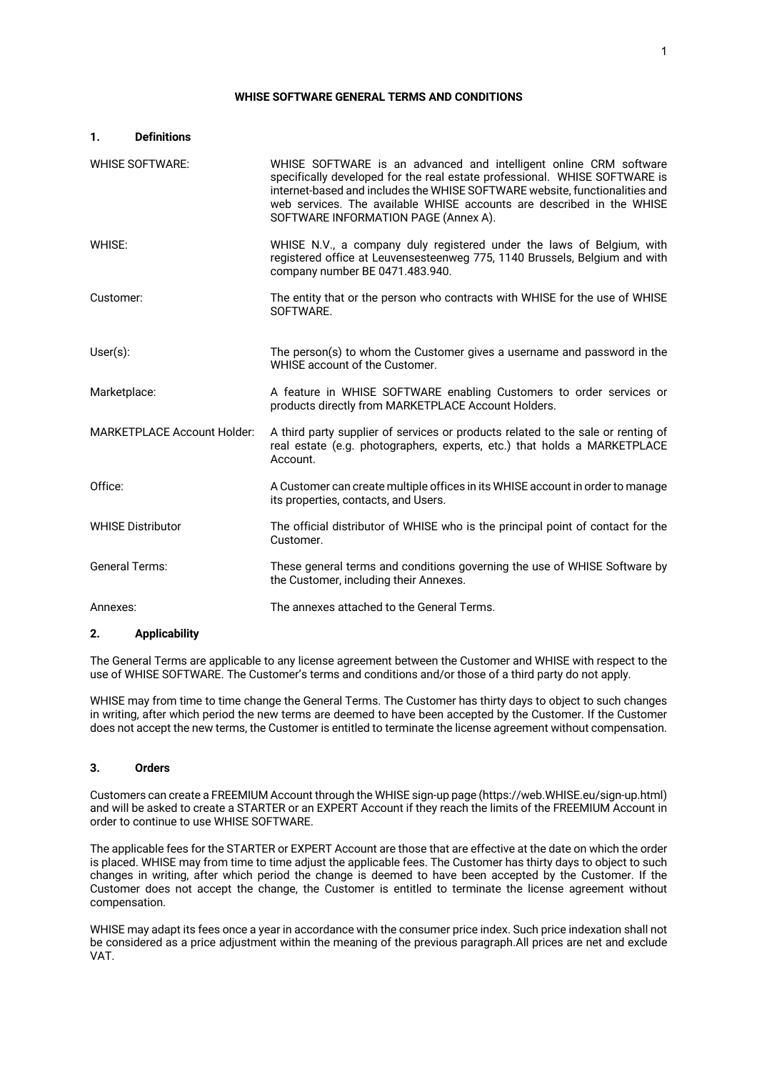#### **WHISE SOFTWARE GENERAL TERMS AND CONDITIONS**

| 1.                                 | <b>Definitions</b>       |                                                                                                                                                                                                                                                                                                                                                 |
|------------------------------------|--------------------------|-------------------------------------------------------------------------------------------------------------------------------------------------------------------------------------------------------------------------------------------------------------------------------------------------------------------------------------------------|
|                                    | <b>WHISE SOFTWARE:</b>   | WHISE SOFTWARE is an advanced and intelligent online CRM software<br>specifically developed for the real estate professional. WHISE SOFTWARE is<br>internet-based and includes the WHISE SOFTWARE website, functionalities and<br>web services. The available WHISE accounts are described in the WHISE<br>SOFTWARE INFORMATION PAGE (Annex A). |
| WHISE:                             |                          | WHISE N.V., a company duly registered under the laws of Belgium, with<br>registered office at Leuvensesteenweg 775, 1140 Brussels, Belgium and with<br>company number BE 0471.483.940.                                                                                                                                                          |
| Customer:                          |                          | The entity that or the person who contracts with WHISE for the use of WHISE<br>SOFTWARE.                                                                                                                                                                                                                                                        |
| $User(s)$ :                        |                          | The person(s) to whom the Customer gives a username and password in the<br>WHISE account of the Customer.                                                                                                                                                                                                                                       |
| Marketplace:                       |                          | A feature in WHISE SOFTWARE enabling Customers to order services or<br>products directly from MARKETPLACE Account Holders.                                                                                                                                                                                                                      |
| <b>MARKETPLACE Account Holder:</b> |                          | A third party supplier of services or products related to the sale or renting of<br>real estate (e.g. photographers, experts, etc.) that holds a MARKETPLACE<br>Account.                                                                                                                                                                        |
| Office:                            |                          | A Customer can create multiple offices in its WHISE account in order to manage<br>its properties, contacts, and Users.                                                                                                                                                                                                                          |
|                                    | <b>WHISE Distributor</b> | The official distributor of WHISE who is the principal point of contact for the<br>Customer.                                                                                                                                                                                                                                                    |
| <b>General Terms:</b>              |                          | These general terms and conditions governing the use of WHISE Software by<br>the Customer, including their Annexes.                                                                                                                                                                                                                             |
| Annexes:                           |                          | The annexes attached to the General Terms.                                                                                                                                                                                                                                                                                                      |

# **2. Applicability**

The General Terms are applicable to any license agreement between the Customer and WHISE with respect to the use of WHISE SOFTWARE. The Customer's terms and conditions and/or those of a third party do not apply.

WHISE may from time to time change the General Terms. The Customer has thirty days to object to such changes in writing, after which period the new terms are deemed to have been accepted by the Customer. If the Customer does not accept the new terms, the Customer is entitled to terminate the license agreement without compensation.

# **3. Orders**

Customers can create a FREEMIUM Account through the WHISE sign-up page (https://web.WHISE.eu/sign-up.html) and will be asked to create a STARTER or an EXPERT Account if they reach the limits of the FREEMIUM Account in order to continue to use WHISE SOFTWARE.

The applicable fees for the STARTER or EXPERT Account are those that are effective at the date on which the order is placed. WHISE may from time to time adjust the applicable fees. The Customer has thirty days to object to such changes in writing, after which period the change is deemed to have been accepted by the Customer. If the Customer does not accept the change, the Customer is entitled to terminate the license agreement without compensation.

WHISE may adapt its fees once a year in accordance with the consumer price index. Such price indexation shall not be considered as a price adjustment within the meaning of the previous paragraph.All prices are net and exclude VAT.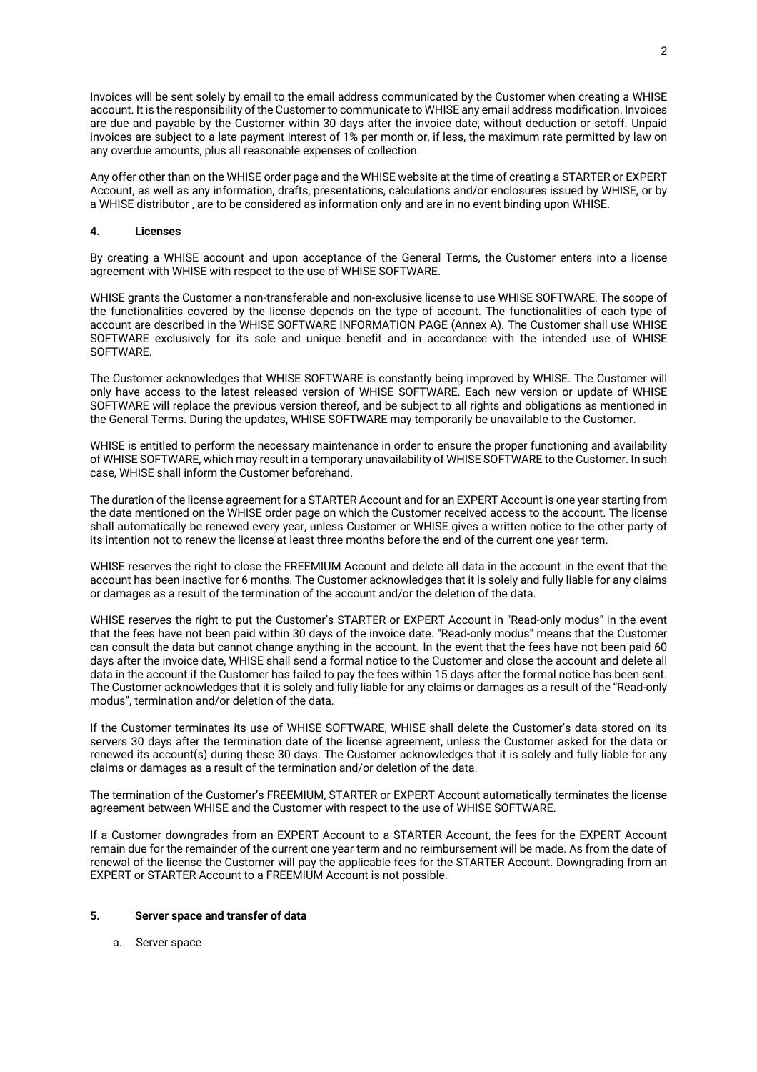Invoices will be sent solely by email to the email address communicated by the Customer when creating a WHISE account. It is the responsibility of the Customer to communicate to WHISE any email address modification. Invoices are due and payable by the Customer within 30 days after the invoice date, without deduction or setoff. Unpaid invoices are subject to a late payment interest of 1% per month or, if less, the maximum rate permitted by law on any overdue amounts, plus all reasonable expenses of collection.

Any offer other than on the WHISE order page and the WHISE website at the time of creating a STARTER or EXPERT Account, as well as any information, drafts, presentations, calculations and/or enclosures issued by WHISE, or by a WHISE distributor , are to be considered as information only and are in no event binding upon WHISE.

#### **4. Licenses**

By creating a WHISE account and upon acceptance of the General Terms, the Customer enters into a license agreement with WHISE with respect to the use of WHISE SOFTWARE.

WHISE grants the Customer a non-transferable and non-exclusive license to use WHISE SOFTWARE. The scope of the functionalities covered by the license depends on the type of account. The functionalities of each type of account are described in the WHISE SOFTWARE INFORMATION PAGE (Annex A). The Customer shall use WHISE SOFTWARE exclusively for its sole and unique benefit and in accordance with the intended use of WHISE SOFTWARE.

The Customer acknowledges that WHISE SOFTWARE is constantly being improved by WHISE. The Customer will only have access to the latest released version of WHISE SOFTWARE. Each new version or update of WHISE SOFTWARE will replace the previous version thereof, and be subject to all rights and obligations as mentioned in the General Terms. During the updates, WHISE SOFTWARE may temporarily be unavailable to the Customer.

WHISE is entitled to perform the necessary maintenance in order to ensure the proper functioning and availability of WHISE SOFTWARE, which may result in a temporary unavailability of WHISE SOFTWARE to the Customer. In such case, WHISE shall inform the Customer beforehand.

The duration of the license agreement for a STARTER Account and for an EXPERT Account is one year starting from the date mentioned on the WHISE order page on which the Customer received access to the account. The license shall automatically be renewed every year, unless Customer or WHISE gives a written notice to the other party of its intention not to renew the license at least three months before the end of the current one year term.

WHISE reserves the right to close the FREEMIUM Account and delete all data in the account in the event that the account has been inactive for 6 months. The Customer acknowledges that it is solely and fully liable for any claims or damages as a result of the termination of the account and/or the deletion of the data.

WHISE reserves the right to put the Customer's STARTER or EXPERT Account in "Read-only modus" in the event that the fees have not been paid within 30 days of the invoice date. "Read-only modus" means that the Customer can consult the data but cannot change anything in the account. In the event that the fees have not been paid 60 days after the invoice date, WHISE shall send a formal notice to the Customer and close the account and delete all data in the account if the Customer has failed to pay the fees within 15 days after the formal notice has been sent. The Customer acknowledges that it is solely and fully liable for any claims or damages as a result of the "Read-only modus", termination and/or deletion of the data.

If the Customer terminates its use of WHISE SOFTWARE, WHISE shall delete the Customer's data stored on its servers 30 days after the termination date of the license agreement, unless the Customer asked for the data or renewed its account(s) during these 30 days. The Customer acknowledges that it is solely and fully liable for any claims or damages as a result of the termination and/or deletion of the data.

The termination of the Customer's FREEMIUM, STARTER or EXPERT Account automatically terminates the license agreement between WHISE and the Customer with respect to the use of WHISE SOFTWARE.

If a Customer downgrades from an EXPERT Account to a STARTER Account, the fees for the EXPERT Account remain due for the remainder of the current one year term and no reimbursement will be made. As from the date of renewal of the license the Customer will pay the applicable fees for the STARTER Account. Downgrading from an EXPERT or STARTER Account to a FREEMIUM Account is not possible.

## **5. Server space and transfer of data**

a. Server space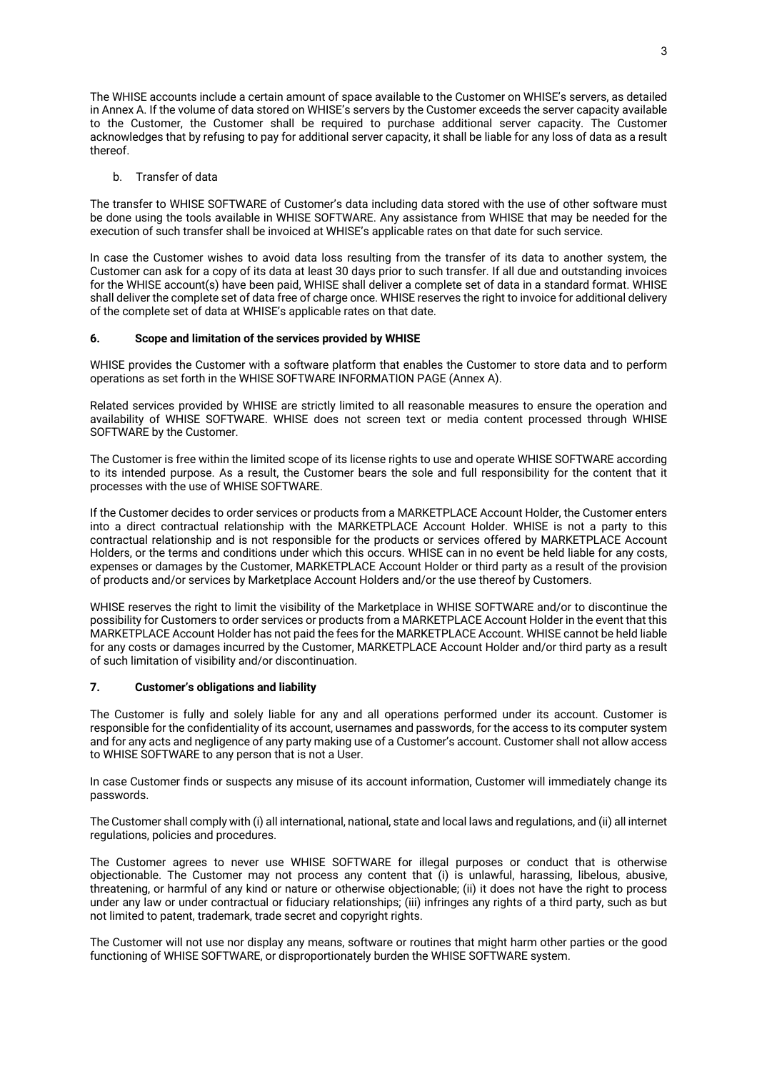The WHISE accounts include a certain amount of space available to the Customer on WHISE's servers, as detailed in Annex A. If the volume of data stored on WHISE's servers by the Customer exceeds the server capacity available to the Customer, the Customer shall be required to purchase additional server capacity. The Customer acknowledges that by refusing to pay for additional server capacity, it shall be liable for any loss of data as a result thereof.

#### b. Transfer of data

The transfer to WHISE SOFTWARE of Customer's data including data stored with the use of other software must be done using the tools available in WHISE SOFTWARE. Any assistance from WHISE that may be needed for the execution of such transfer shall be invoiced at WHISE's applicable rates on that date for such service.

In case the Customer wishes to avoid data loss resulting from the transfer of its data to another system, the Customer can ask for a copy of its data at least 30 days prior to such transfer. If all due and outstanding invoices for the WHISE account(s) have been paid, WHISE shall deliver a complete set of data in a standard format. WHISE shall deliver the complete set of data free of charge once. WHISE reserves the right to invoice for additional delivery of the complete set of data at WHISE's applicable rates on that date.

## **6. Scope and limitation of the services provided by WHISE**

WHISE provides the Customer with a software platform that enables the Customer to store data and to perform operations as set forth in the WHISE SOFTWARE INFORMATION PAGE (Annex A).

Related services provided by WHISE are strictly limited to all reasonable measures to ensure the operation and availability of WHISE SOFTWARE. WHISE does not screen text or media content processed through WHISE SOFTWARE by the Customer.

The Customer is free within the limited scope of its license rights to use and operate WHISE SOFTWARE according to its intended purpose. As a result, the Customer bears the sole and full responsibility for the content that it processes with the use of WHISE SOFTWARE.

If the Customer decides to order services or products from a MARKETPLACE Account Holder, the Customer enters into a direct contractual relationship with the MARKETPLACE Account Holder. WHISE is not a party to this contractual relationship and is not responsible for the products or services offered by MARKETPLACE Account Holders, or the terms and conditions under which this occurs. WHISE can in no event be held liable for any costs, expenses or damages by the Customer, MARKETPLACE Account Holder or third party as a result of the provision of products and/or services by Marketplace Account Holders and/or the use thereof by Customers.

WHISE reserves the right to limit the visibility of the Marketplace in WHISE SOFTWARE and/or to discontinue the possibility for Customers to order services or products from a MARKETPLACE Account Holder in the event that this MARKETPLACE Account Holder has not paid the fees for the MARKETPLACE Account. WHISE cannot be held liable for any costs or damages incurred by the Customer, MARKETPLACE Account Holder and/or third party as a result of such limitation of visibility and/or discontinuation.

#### **7. Customer's obligations and liability**

The Customer is fully and solely liable for any and all operations performed under its account. Customer is responsible for the confidentiality of its account, usernames and passwords, for the access to its computer system and for any acts and negligence of any party making use of a Customer's account. Customer shall not allow access to WHISE SOFTWARE to any person that is not a User.

In case Customer finds or suspects any misuse of its account information, Customer will immediately change its passwords.

The Customer shall comply with (i) all international, national, state and local laws and regulations, and (ii) all internet regulations, policies and procedures.

The Customer agrees to never use WHISE SOFTWARE for illegal purposes or conduct that is otherwise objectionable. The Customer may not process any content that (i) is unlawful, harassing, libelous, abusive, threatening, or harmful of any kind or nature or otherwise objectionable; (ii) it does not have the right to process under any law or under contractual or fiduciary relationships; (iii) infringes any rights of a third party, such as but not limited to patent, trademark, trade secret and copyright rights.

The Customer will not use nor display any means, software or routines that might harm other parties or the good functioning of WHISE SOFTWARE, or disproportionately burden the WHISE SOFTWARE system.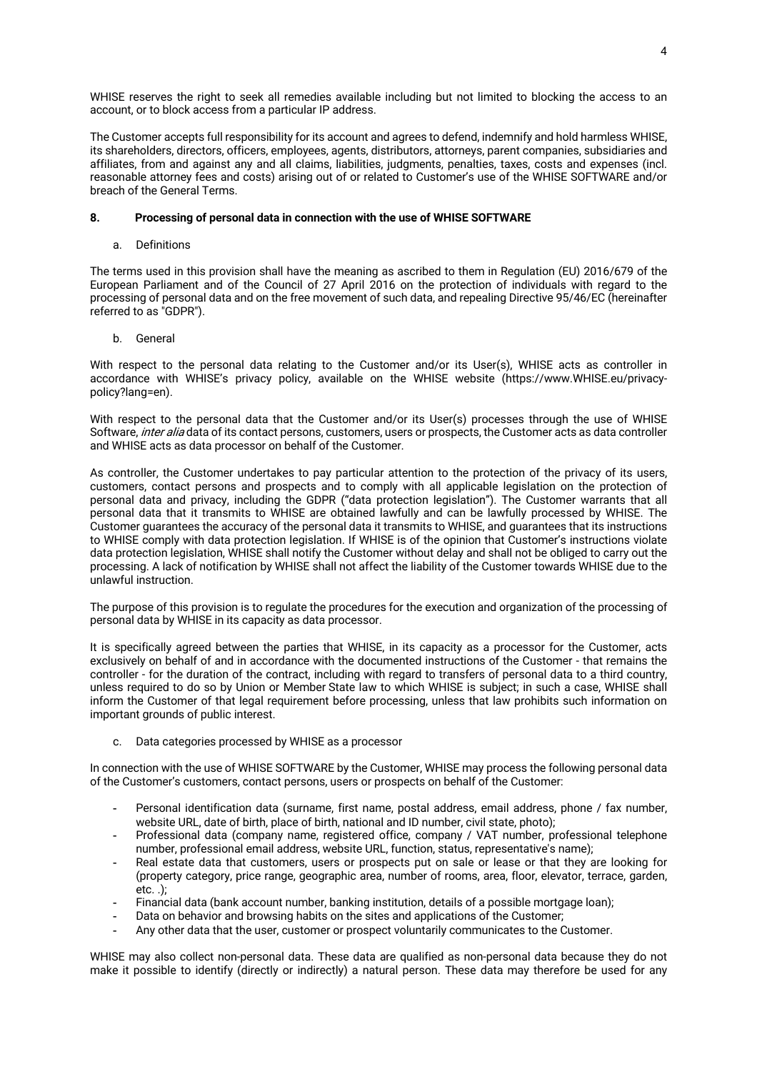WHISE reserves the right to seek all remedies available including but not limited to blocking the access to an account, or to block access from a particular IP address.

The Customer accepts full responsibility for its account and agrees to defend, indemnify and hold harmless WHISE, its shareholders, directors, officers, employees, agents, distributors, attorneys, parent companies, subsidiaries and affiliates, from and against any and all claims, liabilities, judgments, penalties, taxes, costs and expenses (incl. reasonable attorney fees and costs) arising out of or related to Customer's use of the WHISE SOFTWARE and/or breach of the General Terms.

## **8. Processing of personal data in connection with the use of WHISE SOFTWARE**

a. Definitions

The terms used in this provision shall have the meaning as ascribed to them in Regulation (EU) 2016/679 of the European Parliament and of the Council of 27 April 2016 on the protection of individuals with regard to the processing of personal data and on the free movement of such data, and repealing Directive 95/46/EC (hereinafter referred to as "GDPR").

b. General

With respect to the personal data relating to the Customer and/or its User(s), WHISE acts as controller in accordance with WHISE's privacy policy, available on the WHISE website (https://www.WHISE.eu/privacypolicy?lang=en).

With respect to the personal data that the Customer and/or its User(s) processes through the use of WHISE Software, *inter alia* data of its contact persons, customers, users or prospects, the Customer acts as data controller and WHISE acts as data processor on behalf of the Customer.

As controller, the Customer undertakes to pay particular attention to the protection of the privacy of its users, customers, contact persons and prospects and to comply with all applicable legislation on the protection of personal data and privacy, including the GDPR ("data protection legislation"). The Customer warrants that all personal data that it transmits to WHISE are obtained lawfully and can be lawfully processed by WHISE. The Customer guarantees the accuracy of the personal data it transmits to WHISE, and guarantees that its instructions to WHISE comply with data protection legislation. If WHISE is of the opinion that Customer's instructions violate data protection legislation, WHISE shall notify the Customer without delay and shall not be obliged to carry out the processing. A lack of notification by WHISE shall not affect the liability of the Customer towards WHISE due to the unlawful instruction.

The purpose of this provision is to regulate the procedures for the execution and organization of the processing of personal data by WHISE in its capacity as data processor.

It is specifically agreed between the parties that WHISE, in its capacity as a processor for the Customer, acts exclusively on behalf of and in accordance with the documented instructions of the Customer - that remains the controller - for the duration of the contract, including with regard to transfers of personal data to a third country, unless required to do so by Union or Member State law to which WHISE is subject; in such a case, WHISE shall inform the Customer of that legal requirement before processing, unless that law prohibits such information on important grounds of public interest.

c. Data categories processed by WHISE as a processor

In connection with the use of WHISE SOFTWARE by the Customer, WHISE may process the following personal data of the Customer's customers, contact persons, users or prospects on behalf of the Customer:

- Personal identification data (surname, first name, postal address, email address, phone / fax number, website URL, date of birth, place of birth, national and ID number, civil state, photo);
- Professional data (company name, registered office, company / VAT number, professional telephone number, professional email address, website URL, function, status, representative's name);
- Real estate data that customers, users or prospects put on sale or lease or that they are looking for (property category, price range, geographic area, number of rooms, area, floor, elevator, terrace, garden, etc. .);
- Financial data (bank account number, banking institution, details of a possible mortgage loan);
- Data on behavior and browsing habits on the sites and applications of the Customer;
- Any other data that the user, customer or prospect voluntarily communicates to the Customer.

WHISE may also collect non-personal data. These data are qualified as non-personal data because they do not make it possible to identify (directly or indirectly) a natural person. These data may therefore be used for any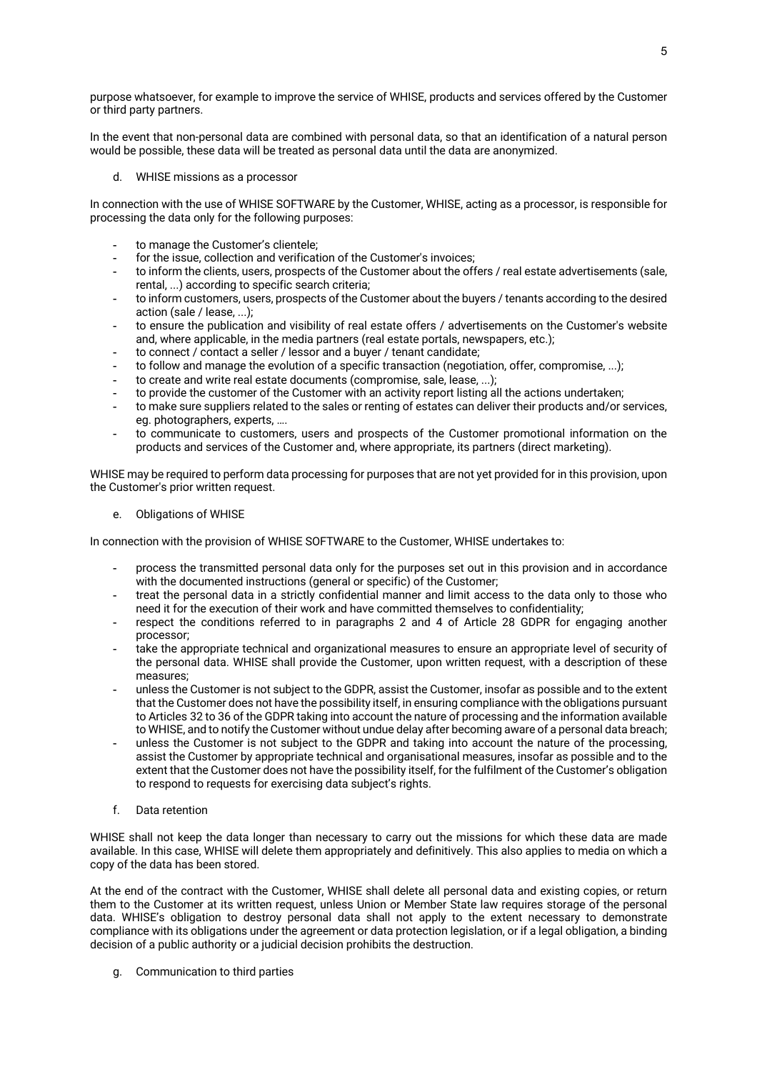purpose whatsoever, for example to improve the service of WHISE, products and services offered by the Customer or third party partners.

In the event that non-personal data are combined with personal data, so that an identification of a natural person would be possible, these data will be treated as personal data until the data are anonymized.

d. WHISE missions as a processor

In connection with the use of WHISE SOFTWARE by the Customer, WHISE, acting as a processor, is responsible for processing the data only for the following purposes:

- to manage the Customer's clientele;
- for the issue, collection and verification of the Customer's invoices;
- to inform the clients, users, prospects of the Customer about the offers / real estate advertisements (sale, rental, ...) according to specific search criteria;
- to inform customers, users, prospects of the Customer about the buyers / tenants according to the desired action (sale / lease, ...);
- to ensure the publication and visibility of real estate offers / advertisements on the Customer's website and, where applicable, in the media partners (real estate portals, newspapers, etc.);
- to connect / contact a seller / lessor and a buyer / tenant candidate;
- to follow and manage the evolution of a specific transaction (negotiation, offer, compromise, ...);
- to create and write real estate documents (compromise, sale, lease, ...);
- to provide the customer of the Customer with an activity report listing all the actions undertaken;
- to make sure suppliers related to the sales or renting of estates can deliver their products and/or services, eg. photographers, experts, ….
- to communicate to customers, users and prospects of the Customer promotional information on the products and services of the Customer and, where appropriate, its partners (direct marketing).

WHISE may be required to perform data processing for purposes that are not yet provided for in this provision, upon the Customer's prior written request.

e. Obligations of WHISE

In connection with the provision of WHISE SOFTWARE to the Customer, WHISE undertakes to:

- process the transmitted personal data only for the purposes set out in this provision and in accordance with the documented instructions (general or specific) of the Customer;
- treat the personal data in a strictly confidential manner and limit access to the data only to those who need it for the execution of their work and have committed themselves to confidentiality;
- respect the conditions referred to in paragraphs 2 and 4 of Article 28 GDPR for engaging another processor;
- take the appropriate technical and organizational measures to ensure an appropriate level of security of the personal data. WHISE shall provide the Customer, upon written request, with a description of these measures;
- unless the Customer is not subject to the GDPR, assist the Customer, insofar as possible and to the extent that the Customer does not have the possibility itself, in ensuring compliance with the obligations pursuant to Articles 32 to 36 of the GDPR taking into account the nature of processing and the information available to WHISE, and to notify the Customer without undue delay after becoming aware of a personal data breach;
- unless the Customer is not subject to the GDPR and taking into account the nature of the processing, assist the Customer by appropriate technical and organisational measures, insofar as possible and to the extent that the Customer does not have the possibility itself, for the fulfilment of the Customer's obligation to respond to requests for exercising data subject's rights.
- f. Data retention

WHISE shall not keep the data longer than necessary to carry out the missions for which these data are made available. In this case, WHISE will delete them appropriately and definitively. This also applies to media on which a copy of the data has been stored.

At the end of the contract with the Customer, WHISE shall delete all personal data and existing copies, or return them to the Customer at its written request, unless Union or Member State law requires storage of the personal data. WHISE's obligation to destroy personal data shall not apply to the extent necessary to demonstrate compliance with its obligations under the agreement or data protection legislation, or if a legal obligation, a binding decision of a public authority or a judicial decision prohibits the destruction.

g. Communication to third parties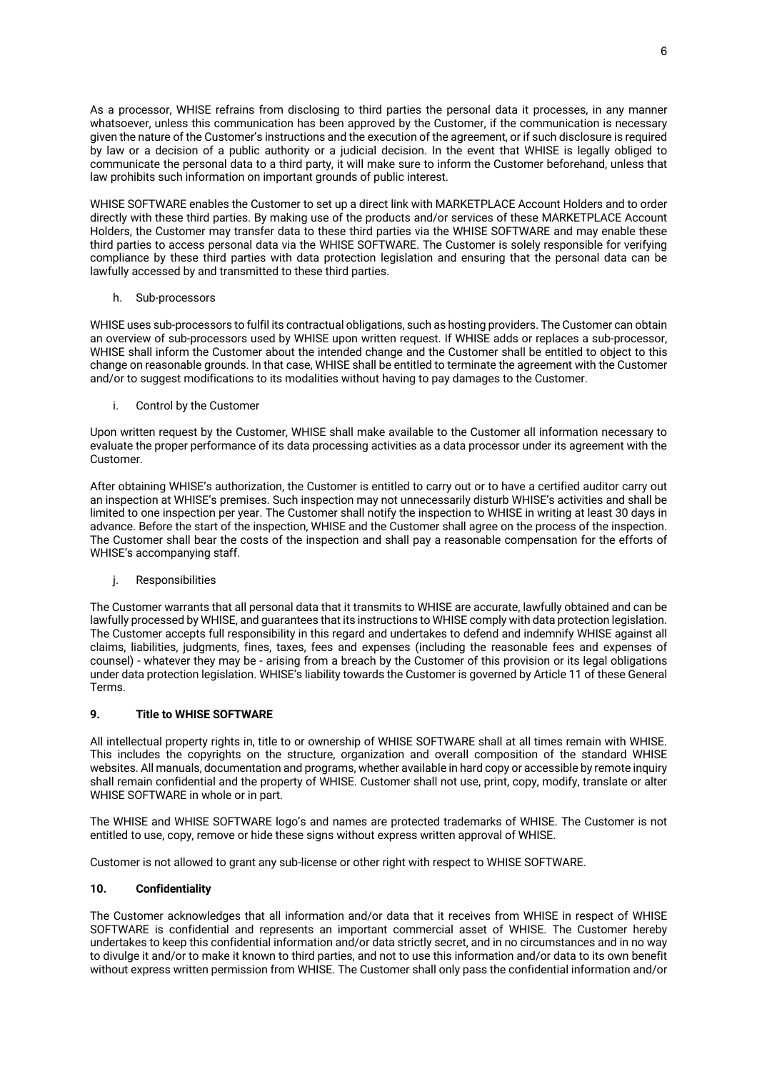As a processor, WHISE refrains from disclosing to third parties the personal data it processes, in any manner whatsoever, unless this communication has been approved by the Customer, if the communication is necessary given the nature of the Customer's instructions and the execution of the agreement, or if such disclosure is required by law or a decision of a public authority or a judicial decision. In the event that WHISE is legally obliged to communicate the personal data to a third party, it will make sure to inform the Customer beforehand, unless that law prohibits such information on important grounds of public interest.

WHISE SOFTWARE enables the Customer to set up a direct link with MARKETPLACE Account Holders and to order directly with these third parties. By making use of the products and/or services of these MARKETPLACE Account Holders, the Customer may transfer data to these third parties via the WHISE SOFTWARE and may enable these third parties to access personal data via the WHISE SOFTWARE. The Customer is solely responsible for verifying compliance by these third parties with data protection legislation and ensuring that the personal data can be lawfully accessed by and transmitted to these third parties.

## h. Sub-processors

WHISE uses sub-processors to fulfil its contractual obligations, such as hosting providers. The Customer can obtain an overview of sub-processors used by WHISE upon written request. If WHISE adds or replaces a sub-processor, WHISE shall inform the Customer about the intended change and the Customer shall be entitled to object to this change on reasonable grounds. In that case, WHISE shall be entitled to terminate the agreement with the Customer and/or to suggest modifications to its modalities without having to pay damages to the Customer.

i. Control by the Customer

Upon written request by the Customer, WHISE shall make available to the Customer all information necessary to evaluate the proper performance of its data processing activities as a data processor under its agreement with the Customer.

After obtaining WHISE's authorization, the Customer is entitled to carry out or to have a certified auditor carry out an inspection at WHISE's premises. Such inspection may not unnecessarily disturb WHISE's activities and shall be limited to one inspection per year. The Customer shall notify the inspection to WHISE in writing at least 30 days in advance. Before the start of the inspection, WHISE and the Customer shall agree on the process of the inspection. The Customer shall bear the costs of the inspection and shall pay a reasonable compensation for the efforts of WHISE's accompanying staff.

j. Responsibilities

The Customer warrants that all personal data that it transmits to WHISE are accurate, lawfully obtained and can be lawfully processed by WHISE, and guarantees that its instructions to WHISE comply with data protection legislation. The Customer accepts full responsibility in this regard and undertakes to defend and indemnify WHISE against all claims, liabilities, judgments, fines, taxes, fees and expenses (including the reasonable fees and expenses of counsel) - whatever they may be - arising from a breach by the Customer of this provision or its legal obligations under data protection legislation. WHISE's liability towards the Customer is governed by Article 11 of these General Terms.

# **9. Title to WHISE SOFTWARE**

All intellectual property rights in, title to or ownership of WHISE SOFTWARE shall at all times remain with WHISE. This includes the copyrights on the structure, organization and overall composition of the standard WHISE websites. All manuals, documentation and programs, whether available in hard copy or accessible by remote inquiry shall remain confidential and the property of WHISE. Customer shall not use, print, copy, modify, translate or alter WHISE SOFTWARE in whole or in part.

The WHISE and WHISE SOFTWARE logo's and names are protected trademarks of WHISE. The Customer is not entitled to use, copy, remove or hide these signs without express written approval of WHISE.

Customer is not allowed to grant any sub-license or other right with respect to WHISE SOFTWARE.

# **10. Confidentiality**

The Customer acknowledges that all information and/or data that it receives from WHISE in respect of WHISE SOFTWARE is confidential and represents an important commercial asset of WHISE. The Customer hereby undertakes to keep this confidential information and/or data strictly secret, and in no circumstances and in no way to divulge it and/or to make it known to third parties, and not to use this information and/or data to its own benefit without express written permission from WHISE. The Customer shall only pass the confidential information and/or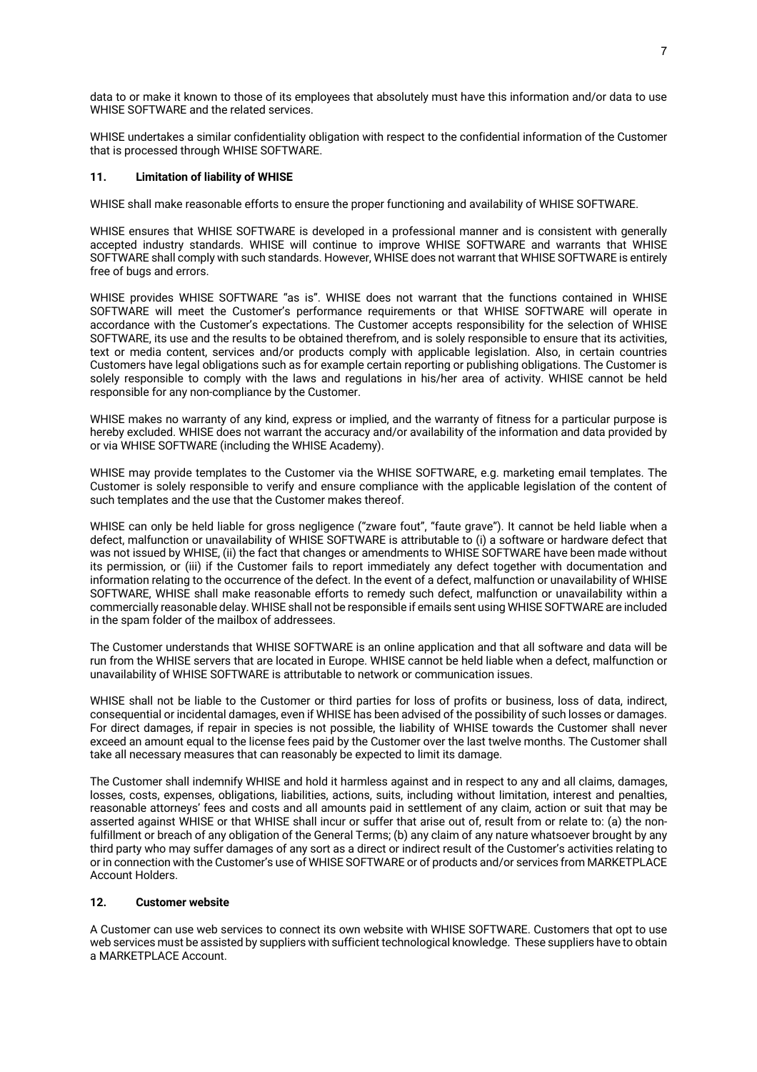data to or make it known to those of its employees that absolutely must have this information and/or data to use WHISE SOFTWARE and the related services.

WHISE undertakes a similar confidentiality obligation with respect to the confidential information of the Customer that is processed through WHISE SOFTWARE.

## **11. Limitation of liability of WHISE**

WHISE shall make reasonable efforts to ensure the proper functioning and availability of WHISE SOFTWARE.

WHISE ensures that WHISE SOFTWARE is developed in a professional manner and is consistent with generally accepted industry standards. WHISE will continue to improve WHISE SOFTWARE and warrants that WHISE SOFTWARE shall comply with such standards. However, WHISE does not warrant that WHISE SOFTWARE is entirely free of bugs and errors.

WHISE provides WHISE SOFTWARE "as is". WHISE does not warrant that the functions contained in WHISE SOFTWARE will meet the Customer's performance requirements or that WHISE SOFTWARE will operate in accordance with the Customer's expectations. The Customer accepts responsibility for the selection of WHISE SOFTWARE, its use and the results to be obtained therefrom, and is solely responsible to ensure that its activities, text or media content, services and/or products comply with applicable legislation. Also, in certain countries Customers have legal obligations such as for example certain reporting or publishing obligations. The Customer is solely responsible to comply with the laws and regulations in his/her area of activity. WHISE cannot be held responsible for any non-compliance by the Customer.

WHISE makes no warranty of any kind, express or implied, and the warranty of fitness for a particular purpose is hereby excluded. WHISE does not warrant the accuracy and/or availability of the information and data provided by or via WHISE SOFTWARE (including the WHISE Academy).

WHISE may provide templates to the Customer via the WHISE SOFTWARE, e.g. marketing email templates. The Customer is solely responsible to verify and ensure compliance with the applicable legislation of the content of such templates and the use that the Customer makes thereof.

WHISE can only be held liable for gross negligence ("zware fout", "faute grave"). It cannot be held liable when a defect, malfunction or unavailability of WHISE SOFTWARE is attributable to (i) a software or hardware defect that was not issued by WHISE, (ii) the fact that changes or amendments to WHISE SOFTWARE have been made without its permission, or (iii) if the Customer fails to report immediately any defect together with documentation and information relating to the occurrence of the defect. In the event of a defect, malfunction or unavailability of WHISE SOFTWARE, WHISE shall make reasonable efforts to remedy such defect, malfunction or unavailability within a commercially reasonable delay. WHISE shall not be responsible if emails sent using WHISE SOFTWARE are included in the spam folder of the mailbox of addressees.

The Customer understands that WHISE SOFTWARE is an online application and that all software and data will be run from the WHISE servers that are located in Europe. WHISE cannot be held liable when a defect, malfunction or unavailability of WHISE SOFTWARE is attributable to network or communication issues.

WHISE shall not be liable to the Customer or third parties for loss of profits or business, loss of data, indirect, consequential or incidental damages, even if WHISE has been advised of the possibility of such losses or damages. For direct damages, if repair in species is not possible, the liability of WHISE towards the Customer shall never exceed an amount equal to the license fees paid by the Customer over the last twelve months. The Customer shall take all necessary measures that can reasonably be expected to limit its damage.

The Customer shall indemnify WHISE and hold it harmless against and in respect to any and all claims, damages, losses, costs, expenses, obligations, liabilities, actions, suits, including without limitation, interest and penalties, reasonable attorneys' fees and costs and all amounts paid in settlement of any claim, action or suit that may be asserted against WHISE or that WHISE shall incur or suffer that arise out of, result from or relate to: (a) the nonfulfillment or breach of any obligation of the General Terms; (b) any claim of any nature whatsoever brought by any third party who may suffer damages of any sort as a direct or indirect result of the Customer's activities relating to or in connection with the Customer's use of WHISE SOFTWARE or of products and/or services from MARKETPLACE Account Holders.

# **12. Customer website**

A Customer can use web services to connect its own website with WHISE SOFTWARE. Customers that opt to use web services must be assisted by suppliers with sufficient technological knowledge. These suppliers have to obtain a MARKETPLACE Account.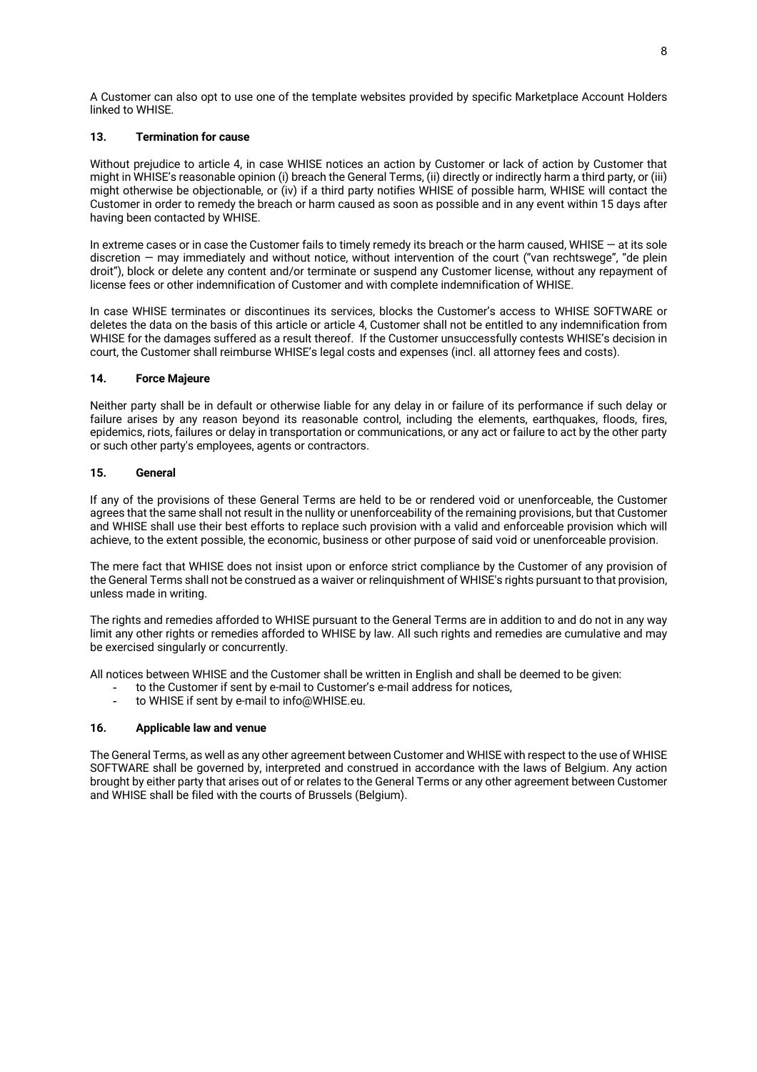A Customer can also opt to use one of the template websites provided by specific Marketplace Account Holders linked to WHISE.

# **13. Termination for cause**

Without prejudice to article 4, in case WHISE notices an action by Customer or lack of action by Customer that might in WHISE's reasonable opinion (i) breach the General Terms, (ii) directly or indirectly harm a third party, or (iii) might otherwise be objectionable, or (iv) if a third party notifies WHISE of possible harm, WHISE will contact the Customer in order to remedy the breach or harm caused as soon as possible and in any event within 15 days after having been contacted by WHISE.

In extreme cases or in case the Customer fails to timely remedy its breach or the harm caused, WHISE — at its sole discretion — may immediately and without notice, without intervention of the court ("van rechtswege", "de plein droit"), block or delete any content and/or terminate or suspend any Customer license, without any repayment of license fees or other indemnification of Customer and with complete indemnification of WHISE.

In case WHISE terminates or discontinues its services, blocks the Customer's access to WHISE SOFTWARE or deletes the data on the basis of this article or article 4, Customer shall not be entitled to any indemnification from WHISE for the damages suffered as a result thereof. If the Customer unsuccessfully contests WHISE's decision in court, the Customer shall reimburse WHISE's legal costs and expenses (incl. all attorney fees and costs).

## **14. Force Majeure**

Neither party shall be in default or otherwise liable for any delay in or failure of its performance if such delay or failure arises by any reason beyond its reasonable control, including the elements, earthquakes, floods, fires, epidemics, riots, failures or delay in transportation or communications, or any act or failure to act by the other party or such other party's employees, agents or contractors.

## **15. General**

If any of the provisions of these General Terms are held to be or rendered void or unenforceable, the Customer agrees that the same shall not result in the nullity or unenforceability of the remaining provisions, but that Customer and WHISE shall use their best efforts to replace such provision with a valid and enforceable provision which will achieve, to the extent possible, the economic, business or other purpose of said void or unenforceable provision.

The mere fact that WHISE does not insist upon or enforce strict compliance by the Customer of any provision of the General Terms shall not be construed as a waiver or relinquishment of WHISE's rights pursuant to that provision, unless made in writing.

The rights and remedies afforded to WHISE pursuant to the General Terms are in addition to and do not in any way limit any other rights or remedies afforded to WHISE by law. All such rights and remedies are cumulative and may be exercised singularly or concurrently.

All notices between WHISE and the Customer shall be written in English and shall be deemed to be given:

- to the Customer if sent by e-mail to Customer's e-mail address for notices,
- to WHISE if sent by e-mail to info@WHISE.eu.

#### **16. Applicable law and venue**

The General Terms, as well as any other agreement between Customer and WHISE with respect to the use of WHISE SOFTWARE shall be governed by, interpreted and construed in accordance with the laws of Belgium. Any action brought by either party that arises out of or relates to the General Terms or any other agreement between Customer and WHISE shall be filed with the courts of Brussels (Belgium).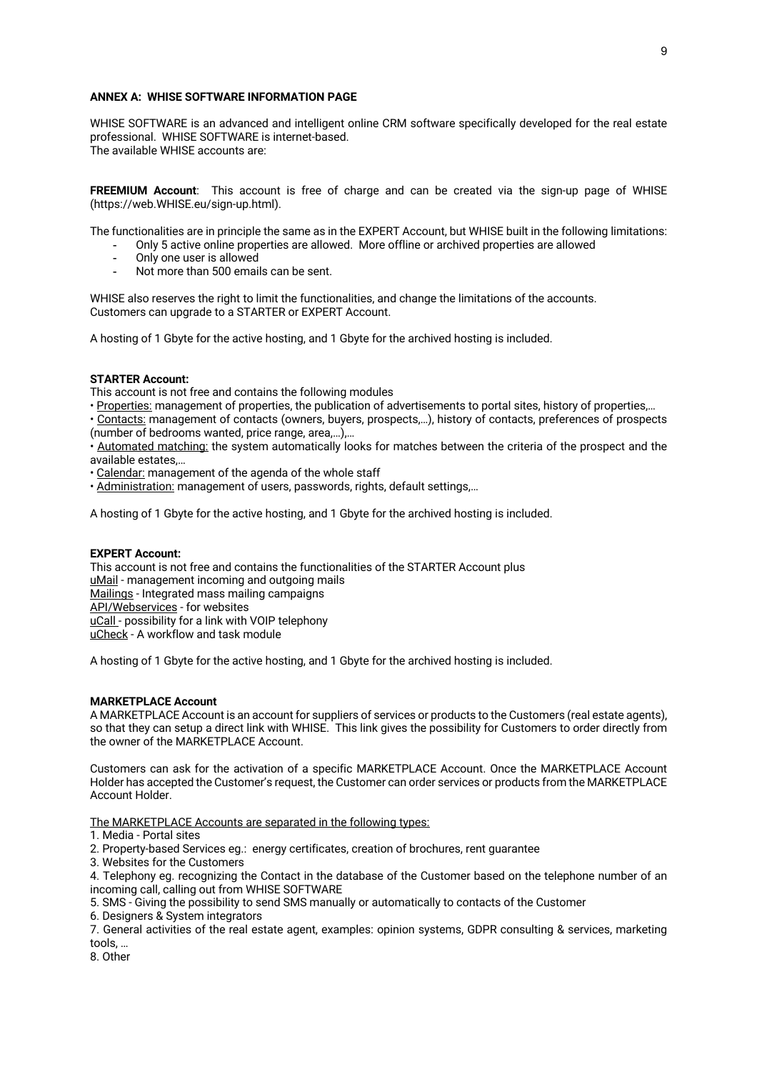#### **ANNEX A: WHISE SOFTWARE INFORMATION PAGE**

WHISE SOFTWARE is an advanced and intelligent online CRM software specifically developed for the real estate professional. WHISE SOFTWARE is internet-based. The available WHISE accounts are:

**FREEMIUM Account**: This account is free of charge and can be created via the sign-up page of WHISE (https://web.WHISE.eu/sign-up.html).

The functionalities are in principle the same as in the EXPERT Account, but WHISE built in the following limitations:

- Only 5 active online properties are allowed. More offline or archived properties are allowed
- Only one user is allowed
- Not more than 500 emails can be sent.

WHISE also reserves the right to limit the functionalities, and change the limitations of the accounts. Customers can upgrade to a STARTER or EXPERT Account.

A hosting of 1 Gbyte for the active hosting, and 1 Gbyte for the archived hosting is included.

#### **STARTER Account:**

This account is not free and contains the following modules

• Properties: management of properties, the publication of advertisements to portal sites, history of properties,…

• Contacts: management of contacts (owners, buyers, prospects,…), history of contacts, preferences of prospects (number of bedrooms wanted, price range, area,…),…

• Automated matching: the system automatically looks for matches between the criteria of the prospect and the available estates,…

• Calendar: management of the agenda of the whole staff

• Administration: management of users, passwords, rights, default settings,…

A hosting of 1 Gbyte for the active hosting, and 1 Gbyte for the archived hosting is included.

#### **EXPERT Account:**

This account is not free and contains the functionalities of the STARTER Account plus uMail - management incoming and outgoing mails Mailings - Integrated mass mailing campaigns API/Webservices - for websites uCall - possibility for a link with VOIP telephony uCheck - A workflow and task module

A hosting of 1 Gbyte for the active hosting, and 1 Gbyte for the archived hosting is included.

#### **MARKETPLACE Account**

A MARKETPLACE Account is an account for suppliers of services or products to the Customers (real estate agents), so that they can setup a direct link with WHISE. This link gives the possibility for Customers to order directly from the owner of the MARKETPLACE Account.

Customers can ask for the activation of a specific MARKETPLACE Account. Once the MARKETPLACE Account Holder has accepted the Customer's request, the Customer can order services or products from the MARKETPLACE Account Holder.

The MARKETPLACE Accounts are separated in the following types:

1. Media - Portal sites

2. Property-based Services eg.: energy certificates, creation of brochures, rent guarantee

3. Websites for the Customers

4. Telephony eg. recognizing the Contact in the database of the Customer based on the telephone number of an incoming call, calling out from WHISE SOFTWARE

5. SMS - Giving the possibility to send SMS manually or automatically to contacts of the Customer

6. Designers & System integrators

7. General activities of the real estate agent, examples: opinion systems, GDPR consulting & services, marketing tools, …

8. Other